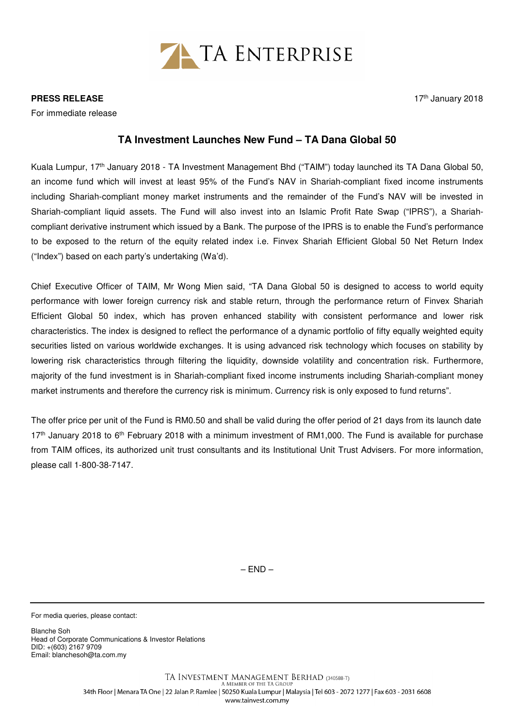

**PRESS RELEASE** 

For immediate release

## 17<sup>th</sup> January 2018

## **TA Investment Launches New Fund – TA Dana Global 50**

Kuala Lumpur, 17<sup>th</sup> January 2018 - TA Investment Management Bhd ("TAIM") today launched its TA Dana Global 50, an income fund which will invest at least 95% of the Fund's NAV in Shariah-compliant fixed income instruments including Shariah-compliant money market instruments and the remainder of the Fund's NAV will be invested in Shariah-compliant liquid assets. The Fund will also invest into an Islamic Profit Rate Swap ("IPRS"), a Shariahcompliant derivative instrument which issued by a Bank. The purpose of the IPRS is to enable the Fund's performance to be exposed to the return of the equity related index i.e. Finvex Shariah Efficient Global 50 Net Return Index ("Index") based on each party's undertaking (Wa'd).

Chief Executive Officer of TAIM, Mr Wong Mien said, "TA Dana Global 50 is designed to access to world equity performance with lower foreign currency risk and stable return, through the performance return of Finvex Shariah Efficient Global 50 index, which has proven enhanced stability with consistent performance and lower risk characteristics. The index is designed to reflect the performance of a dynamic portfolio of fifty equally weighted equity securities listed on various worldwide exchanges. It is using advanced risk technology which focuses on stability by lowering risk characteristics through filtering the liquidity, downside volatility and concentration risk. Furthermore, majority of the fund investment is in Shariah-compliant fixed income instruments including Shariah-compliant money market instruments and therefore the currency risk is minimum. Currency risk is only exposed to fund returns".

The offer price per unit of the Fund is RM0.50 and shall be valid during the offer period of 21 days from its launch date 17<sup>th</sup> January 2018 to 6<sup>th</sup> February 2018 with a minimum investment of RM1,000. The Fund is available for purchase from TAIM offices, its authorized unit trust consultants and its Institutional Unit Trust Advisers. For more information, please call 1-800-38-7147.

 $-$  END  $-$ 

For media queries, please contact:

Blanche Soh Head of Corporate Communications & Investor Relations DID: +(603) 2167 9709 Email: blanchesoh@ta.com.my